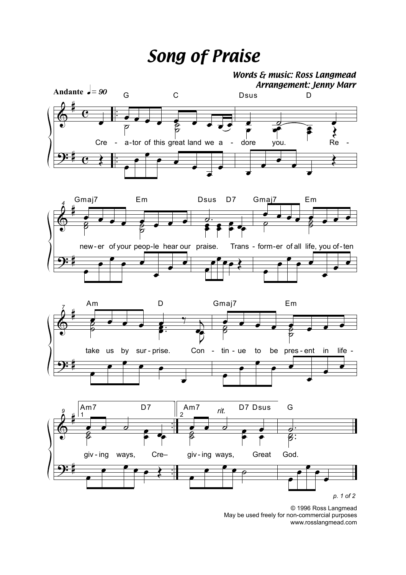## *Song of Praise*



© 1996 Ross Langmead May be used freely for non-commercial purposes www.rosslangmead.com